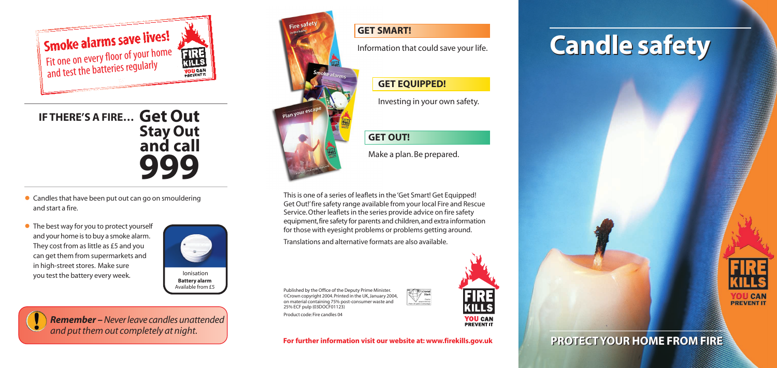

**Battery alarm** Available from £5

# **Candle safety Candle safety**



## **PROTECT YOUR HOME FROM FIRE PROTECT YOUR HOME FROM FIRE**

Published by the Office of the Deputy Prime Minister. ©Crown copyright 2004. Printed in the UK, January 2004, on material containing 75% post-consumer waste and 25% ECF pulp (03DOCF01123) Product code: Fire candles 04



**YOU CAN**<br>**PREVENT IT** 

#### **GET SMART!**

Information that could save your life.

#### **GET EQUIPPED!**

Investing in your own safety.

## **GET OUT!**

Make a plan. Be prepared.

This is one of a series of leaflets in the 'Get Smart! Get Equipped! Get Out!'fire safety range available from your local Fire and Rescue Service.Other leaflets in the series provide advice on fire safety equipment,fire safety for parents and children,and extra information for those with eyesight problems or problems getting around.

Translations and alternative formats are also available.

**For further information visit our website at: www.firekills.gov.uk**

**Get Out IF THERE'S A FIRE… Stay Out and call 999**



*Remember* **–***Never leave candles unattended and put them out completely at night.*



- Candles that have been put out can go on smouldering and start a fire.
- The best way for you to protect yourself and your home is to buy a smoke alarm. They cost from as little as £5 and you can get them from supermarkets and in high-street stores. Make sure you test the battery every week.